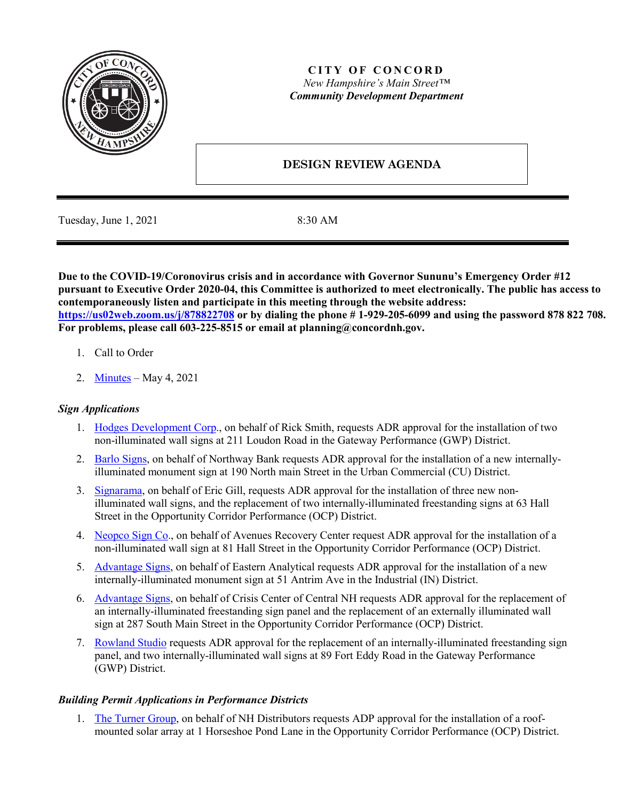

## **CITY OF CONCORD** *New Hampshire's Main Street™ Community Development Department*

# **DESIGN REVIEW AGENDA**

Tuesday, June 1, 2021 8:30 AM

**Due to the COVID-19/Coronovirus crisis and in accordance with Governor Sununu's Emergency Order #12 pursuant to Executive Order 2020-04, this Committee is authorized to meet electronically. The public has access to contemporaneously listen and participate in this meeting through the website address: <https://us02web.zoom.us/j/878822708> or by dialing the phone # 1-929-205-6099 and using the password 878 822 708. For problems, please call 603-225-8515 or email at planning@concordnh.gov.**

- 1. Call to Order
- 2. [Minutes](https://www.concordnh.gov/DocumentCenter/View/17271/05042021) May 4, 2021

## *Sign Applications*

- 1. [Hodges Development Corp.](https://www.concordnh.gov/DocumentCenter/View/17270/211-Loudon-Rd---Your-CBD-Store---2-signs-for-ADR), on behalf of Rick Smith, requests ADR approval for the installation of two non-illuminated wall signs at 211 Loudon Road in the Gateway Performance (GWP) District.
- 2. [Barlo Signs,](https://www.concordnh.gov/DocumentCenter/View/17265/190-N-Main-St---Northway-Bank---1-Freestanding-Sign-for-ADR) on behalf of Northway Bank requests ADR approval for the installation of a new internallyilluminated monument sign at 190 North main Street in the Urban Commercial (CU) District.
- 3. [Signarama,](https://www.concordnh.gov/DocumentCenter/View/17264/63-Hall-St---Gills---5-signs-for-ADR) on behalf of Eric Gill, requests ADR approval for the installation of three new nonilluminated wall signs, and the replacement of two internally-illuminated freestanding signs at 63 Hall Street in the Opportunity Corridor Performance (OCP) District.
- 4. [Neopco Sign Co.](https://www.concordnh.gov/DocumentCenter/View/17269/81-Hall-St---Avenues---1-sign-for-ADR), on behalf of Avenues Recovery Center request ADR approval for the installation of a non-illuminated wall sign at 81 Hall Street in the Opportunity Corridor Performance (OCP) District.
- 5. [Advantage Signs,](https://www.concordnh.gov/DocumentCenter/View/17268/51-Antrim-Ave---Eastern-Analytical---1-sign-for-ADR) on behalf of Eastern Analytical requests ADR approval for the installation of a new internally-illuminated monument sign at 51 Antrim Ave in the Industrial (IN) District.
- 6. [Advantage Signs,](https://www.concordnh.gov/DocumentCenter/View/17267/287-South-Main-St---Crisis-Center---2-signs-for-ADR) on behalf of Crisis Center of Central NH requests ADR approval for the replacement of an internally-illuminated freestanding sign panel and the replacement of an externally illuminated wall sign at 287 South Main Street in the Opportunity Corridor Performance (OCP) District.
- 7. [Rowland Studio](https://www.concordnh.gov/DocumentCenter/View/17272/89-Ft-Eddy-Rd-U1---Rowland-Studio---3-signs-for-ADR) requests ADR approval for the replacement of an internally-illuminated freestanding sign panel, and two internally-illuminated wall signs at 89 Fort Eddy Road in the Gateway Performance (GWP) District.

## *Building Permit Applications in Performance Districts*

1. [The Turner Group,](https://www.concordnh.gov/DocumentCenter/View/17266/1-Horseshoe-Pond-Solar-ADR) on behalf of NH Distributors requests ADP approval for the installation of a roofmounted solar array at 1 Horseshoe Pond Lane in the Opportunity Corridor Performance (OCP) District.